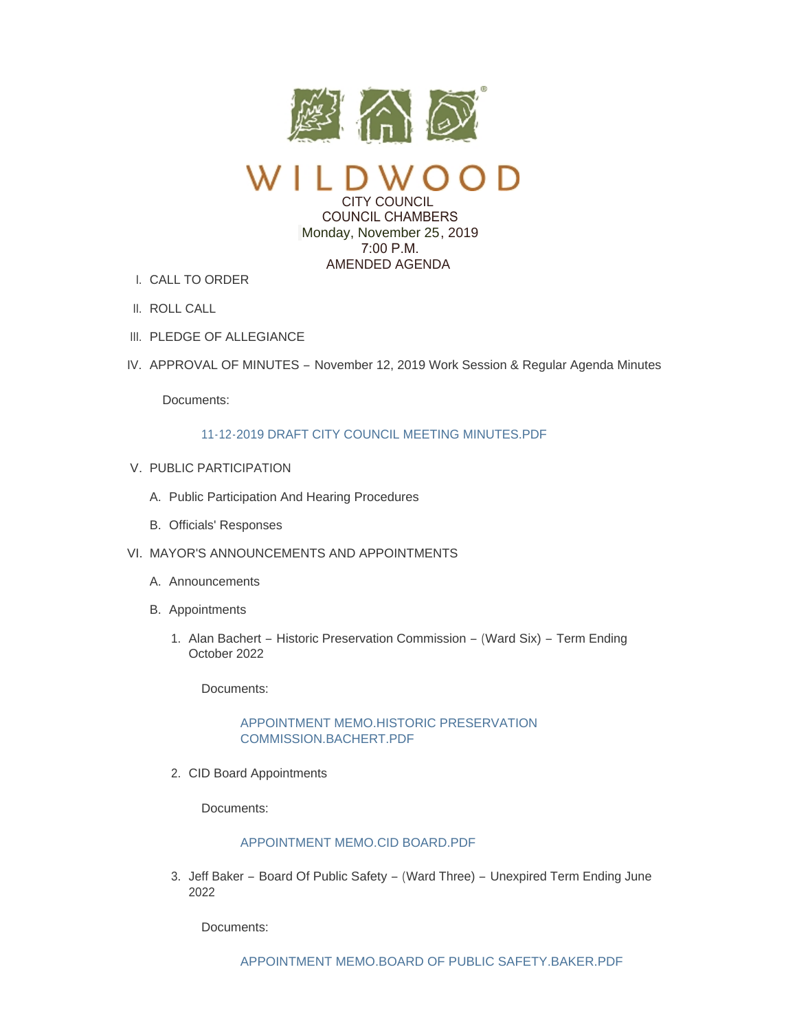

CITY COUNCIL COUNCIL CHAMBERS Monday, November 25, 2019 7:00 P.M. AMENDED AGENDA

- CALL TO ORDER I.
- II. ROLL CALL
- III. PLEDGE OF ALLEGIANCE
- IV. APPROVAL OF MINUTES November 12, 2019 Work Session & Regular Agenda Minutes

Documents:

### [11-12-2019 DRAFT CITY COUNCIL MEETING MINUTES.PDF](https://www.cityofwildwood.com/AgendaCenter/ViewFile/Item/23101?fileID=28353)

- V. PUBLIC PARTICIPATION
	- A. Public Participation And Hearing Procedures
	- B. Officials' Responses
- VI. MAYOR'S ANNOUNCEMENTS AND APPOINTMENTS
	- A. Announcements
	- B. Appointments
		- 1. Alan Bachert Historic Preservation Commission (Ward Six) Term Ending October 2022

Documents:

# [APPOINTMENT MEMO.HISTORIC PRESERVATION](https://www.cityofwildwood.com/AgendaCenter/ViewFile/Item/23152?fileID=28378)  COMMISSION.BACHERT.PDF

2. CID Board Appointments

Documents:

### [APPOINTMENT MEMO.CID BOARD.PDF](https://www.cityofwildwood.com/AgendaCenter/ViewFile/Item/23157?fileID=28380)

3. Jeff Baker – Board Of Public Safety – (Ward Three) – Unexpired Term Ending June 2022

Documents: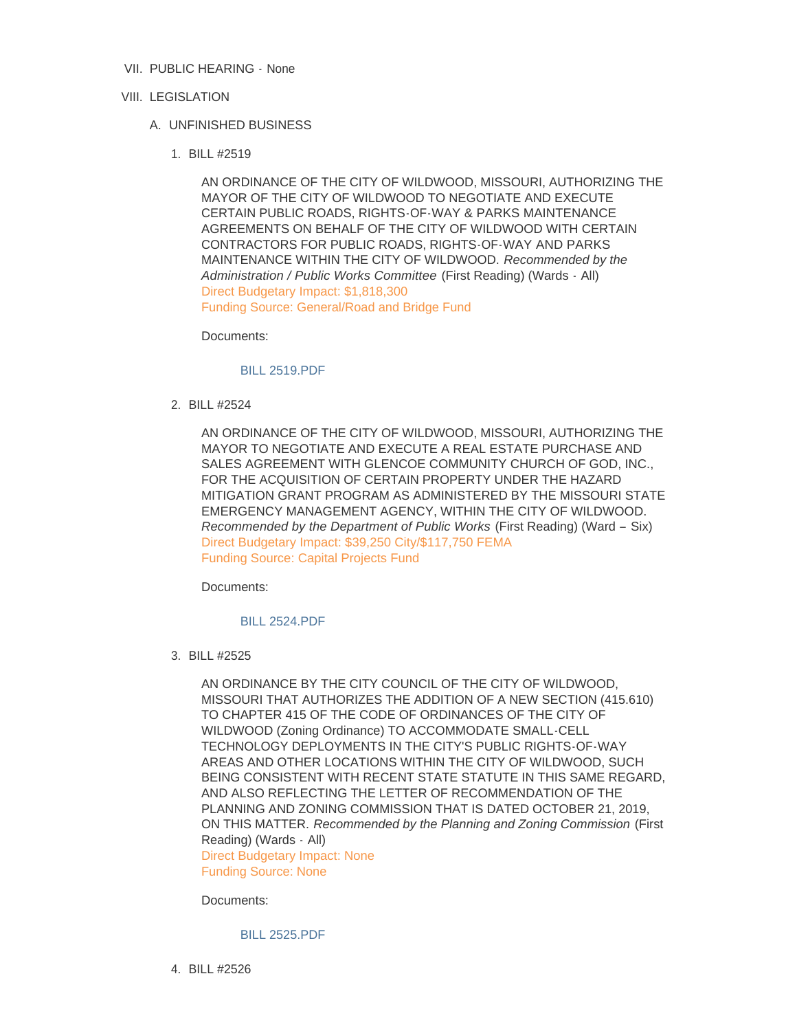- VII. PUBLIC HEARING None
- VIII. LEGISLATION
	- UNFINISHED BUSINESS A.
		- BILL #2519 1.

AN ORDINANCE OF THE CITY OF WILDWOOD, MISSOURI, AUTHORIZING THE MAYOR OF THE CITY OF WILDWOOD TO NEGOTIATE AND EXECUTE CERTAIN PUBLIC ROADS, RIGHTS-OF-WAY & PARKS MAINTENANCE AGREEMENTS ON BEHALF OF THE CITY OF WILDWOOD WITH CERTAIN CONTRACTORS FOR PUBLIC ROADS, RIGHTS-OF-WAY AND PARKS MAINTENANCE WITHIN THE CITY OF WILDWOOD. *Recommended by the Administration / Public Works Committee* (First Reading) (Wards - All) Direct Budgetary Impact: \$1,818,300 Funding Source: General/Road and Bridge Fund

Documents:

#### [BILL 2519.PDF](https://www.cityofwildwood.com/AgendaCenter/ViewFile/Item/23050?fileID=28393)

BILL #2524 2.

AN ORDINANCE OF THE CITY OF WILDWOOD, MISSOURI, AUTHORIZING THE MAYOR TO NEGOTIATE AND EXECUTE A REAL ESTATE PURCHASE AND SALES AGREEMENT WITH GLENCOE COMMUNITY CHURCH OF GOD, INC., FOR THE ACQUISITION OF CERTAIN PROPERTY UNDER THE HAZARD MITIGATION GRANT PROGRAM AS ADMINISTERED BY THE MISSOURI STATE EMERGENCY MANAGEMENT AGENCY, WITHIN THE CITY OF WILDWOOD. *Recommended by the Department of Public Works* (First Reading) (Ward – Six) Direct Budgetary Impact: \$39,250 City/\$117,750 FEMA Funding Source: Capital Projects Fund

Documents:

[BILL 2524.PDF](https://www.cityofwildwood.com/AgendaCenter/ViewFile/Item/23051?fileID=28394)

BILL #2525 3.

AN ORDINANCE BY THE CITY COUNCIL OF THE CITY OF WILDWOOD, MISSOURI THAT AUTHORIZES THE ADDITION OF A NEW SECTION (415.610) TO CHAPTER 415 OF THE CODE OF ORDINANCES OF THE CITY OF WILDWOOD (Zoning Ordinance) TO ACCOMMODATE SMALL-CELL TECHNOLOGY DEPLOYMENTS IN THE CITY'S PUBLIC RIGHTS-OF-WAY AREAS AND OTHER LOCATIONS WITHIN THE CITY OF WILDWOOD, SUCH BEING CONSISTENT WITH RECENT STATE STATUTE IN THIS SAME REGARD, AND ALSO REFLECTING THE LETTER OF RECOMMENDATION OF THE PLANNING AND ZONING COMMISSION THAT IS DATED OCTOBER 21, 2019, ON THIS MATTER. *Recommended by the Planning and Zoning Commission* (First Reading) (Wards - All)

Direct Budgetary Impact: None Funding Source: None

Documents:

[BILL 2525.PDF](https://www.cityofwildwood.com/AgendaCenter/ViewFile/Item/23052?fileID=28329)

BILL #2526 4.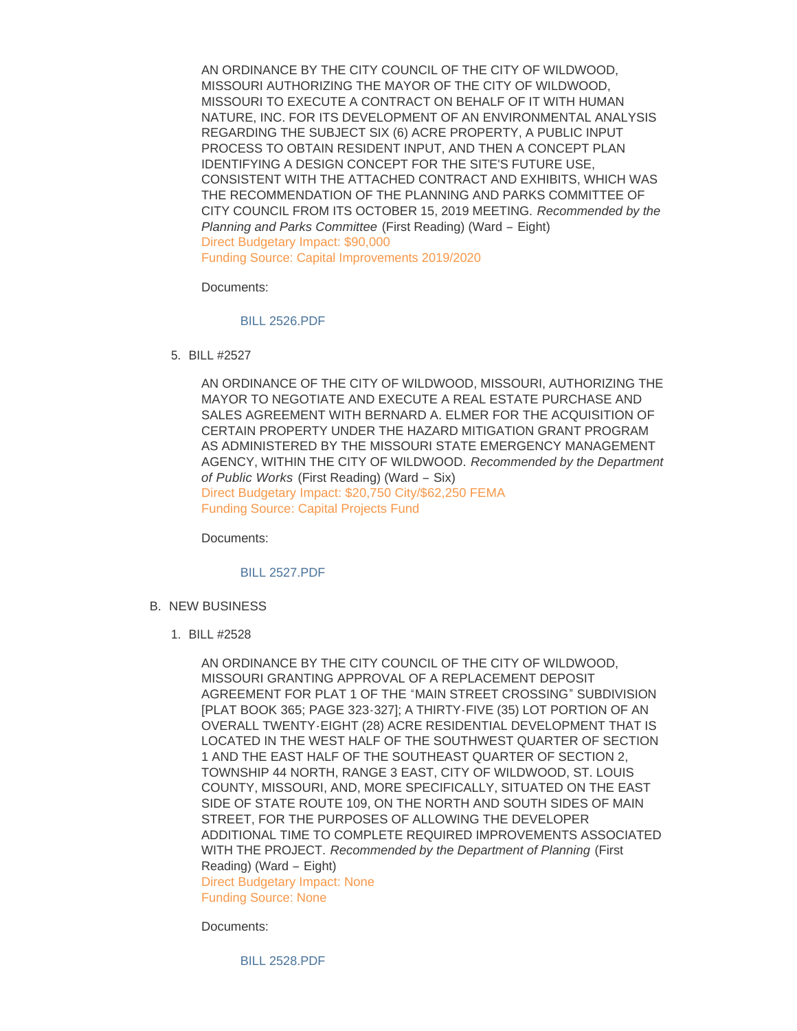AN ORDINANCE BY THE CITY COUNCIL OF THE CITY OF WILDWOOD, MISSOURI AUTHORIZING THE MAYOR OF THE CITY OF WILDWOOD, MISSOURI TO EXECUTE A CONTRACT ON BEHALF OF IT WITH HUMAN NATURE, INC. FOR ITS DEVELOPMENT OF AN ENVIRONMENTAL ANALYSIS REGARDING THE SUBJECT SIX (6) ACRE PROPERTY, A PUBLIC INPUT PROCESS TO OBTAIN RESIDENT INPUT, AND THEN A CONCEPT PLAN IDENTIFYING A DESIGN CONCEPT FOR THE SITE'S FUTURE USE, CONSISTENT WITH THE ATTACHED CONTRACT AND EXHIBITS, WHICH WAS THE RECOMMENDATION OF THE PLANNING AND PARKS COMMITTEE OF CITY COUNCIL FROM ITS OCTOBER 15, 2019 MEETING. *Recommended by the Planning and Parks Committee* (First Reading) (Ward – Eight) Direct Budgetary Impact: \$90,000 Funding Source: Capital Improvements 2019/2020

Documents:

[BILL 2526.PDF](https://www.cityofwildwood.com/AgendaCenter/ViewFile/Item/23053?fileID=28330)

BILL #2527 5.

AN ORDINANCE OF THE CITY OF WILDWOOD, MISSOURI, AUTHORIZING THE MAYOR TO NEGOTIATE AND EXECUTE A REAL ESTATE PURCHASE AND SALES AGREEMENT WITH BERNARD A. ELMER FOR THE ACQUISITION OF CERTAIN PROPERTY UNDER THE HAZARD MITIGATION GRANT PROGRAM AS ADMINISTERED BY THE MISSOURI STATE EMERGENCY MANAGEMENT AGENCY, WITHIN THE CITY OF WILDWOOD. *Recommended by the Department of Public Works* (First Reading) (Ward – Six) Direct Budgetary Impact: \$20,750 City/\$62,250 FEMA Funding Source: Capital Projects Fund

Documents:

### [BILL 2527.PDF](https://www.cityofwildwood.com/AgendaCenter/ViewFile/Item/23054?fileID=28395)

- B. NEW BUSINESS
	- BILL #2528 1.

AN ORDINANCE BY THE CITY COUNCIL OF THE CITY OF WILDWOOD, MISSOURI GRANTING APPROVAL OF A REPLACEMENT DEPOSIT AGREEMENT FOR PLAT 1 OF THE "MAIN STREET CROSSING" SUBDIVISION [PLAT BOOK 365; PAGE 323-327]; A THIRTY-FIVE (35) LOT PORTION OF AN OVERALL TWENTY-EIGHT (28) ACRE RESIDENTIAL DEVELOPMENT THAT IS LOCATED IN THE WEST HALF OF THE SOUTHWEST QUARTER OF SECTION 1 AND THE EAST HALF OF THE SOUTHEAST QUARTER OF SECTION 2, TOWNSHIP 44 NORTH, RANGE 3 EAST, CITY OF WILDWOOD, ST. LOUIS COUNTY, MISSOURI, AND, MORE SPECIFICALLY, SITUATED ON THE EAST SIDE OF STATE ROUTE 109, ON THE NORTH AND SOUTH SIDES OF MAIN STREET, FOR THE PURPOSES OF ALLOWING THE DEVELOPER ADDITIONAL TIME TO COMPLETE REQUIRED IMPROVEMENTS ASSOCIATED WITH THE PROJECT. *Recommended by the Department of Planning* (First Reading) (Ward – Eight) Direct Budgetary Impact: None Funding Source: None

Documents:

[BILL 2528.PDF](https://www.cityofwildwood.com/AgendaCenter/ViewFile/Item/23033?fileID=28396)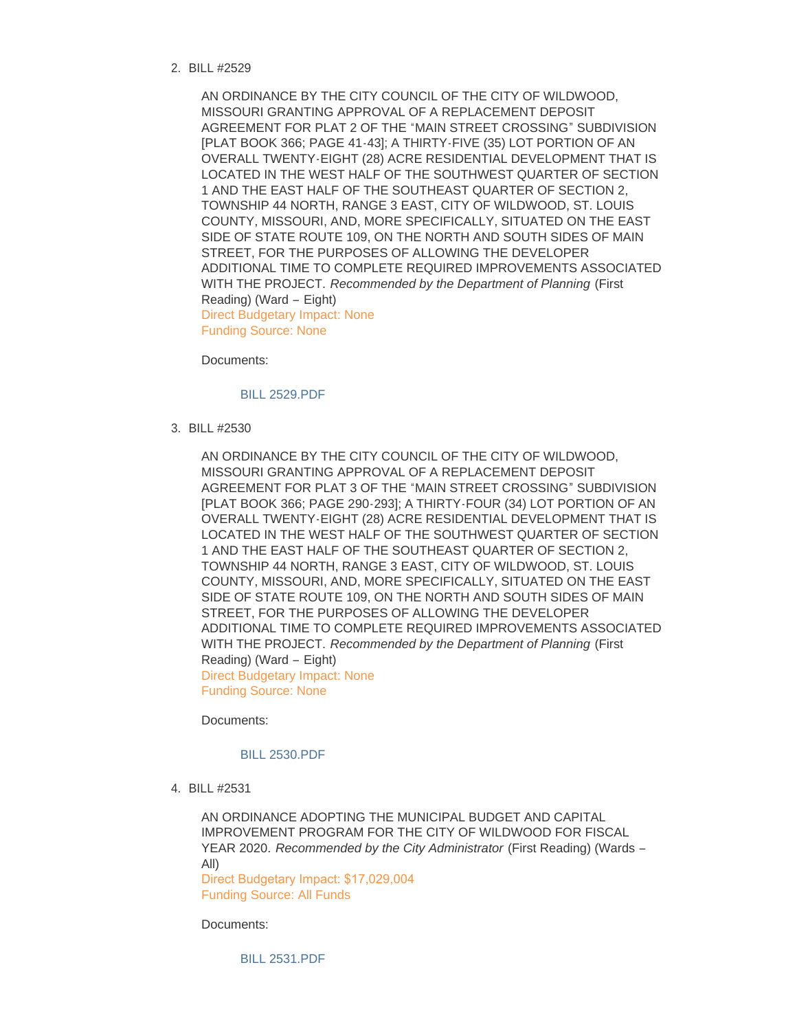BILL #2529 2.

AN ORDINANCE BY THE CITY COUNCIL OF THE CITY OF WILDWOOD, MISSOURI GRANTING APPROVAL OF A REPLACEMENT DEPOSIT AGREEMENT FOR PLAT 2 OF THE "MAIN STREET CROSSING" SUBDIVISION [PLAT BOOK 366; PAGE 41-43]; A THIRTY-FIVE (35) LOT PORTION OF AN OVERALL TWENTY-EIGHT (28) ACRE RESIDENTIAL DEVELOPMENT THAT IS LOCATED IN THE WEST HALF OF THE SOUTHWEST QUARTER OF SECTION 1 AND THE EAST HALF OF THE SOUTHEAST QUARTER OF SECTION 2, TOWNSHIP 44 NORTH, RANGE 3 EAST, CITY OF WILDWOOD, ST. LOUIS COUNTY, MISSOURI, AND, MORE SPECIFICALLY, SITUATED ON THE EAST SIDE OF STATE ROUTE 109, ON THE NORTH AND SOUTH SIDES OF MAIN STREET, FOR THE PURPOSES OF ALLOWING THE DEVELOPER ADDITIONAL TIME TO COMPLETE REQUIRED IMPROVEMENTS ASSOCIATED WITH THE PROJECT. *Recommended by the Department of Planning* (First Reading) (Ward – Eight) Direct Budgetary Impact: None Funding Source: None

Documents:

#### [BILL 2529.PDF](https://www.cityofwildwood.com/AgendaCenter/ViewFile/Item/23034?fileID=28397)

BILL #2530 3.

AN ORDINANCE BY THE CITY COUNCIL OF THE CITY OF WILDWOOD, MISSOURI GRANTING APPROVAL OF A REPLACEMENT DEPOSIT AGREEMENT FOR PLAT 3 OF THE "MAIN STREET CROSSING" SUBDIVISION [PLAT BOOK 366; PAGE 290-293]; A THIRTY-FOUR (34) LOT PORTION OF AN OVERALL TWENTY-EIGHT (28) ACRE RESIDENTIAL DEVELOPMENT THAT IS LOCATED IN THE WEST HALF OF THE SOUTHWEST QUARTER OF SECTION 1 AND THE EAST HALF OF THE SOUTHEAST QUARTER OF SECTION 2, TOWNSHIP 44 NORTH, RANGE 3 EAST, CITY OF WILDWOOD, ST. LOUIS COUNTY, MISSOURI, AND, MORE SPECIFICALLY, SITUATED ON THE EAST SIDE OF STATE ROUTE 109, ON THE NORTH AND SOUTH SIDES OF MAIN STREET, FOR THE PURPOSES OF ALLOWING THE DEVELOPER ADDITIONAL TIME TO COMPLETE REQUIRED IMPROVEMENTS ASSOCIATED WITH THE PROJECT. *Recommended by the Department of Planning* (First Reading) (Ward – Eight) Direct Budgetary Impact: None Funding Source: None

Documents:

#### [BILL 2530.PDF](https://www.cityofwildwood.com/AgendaCenter/ViewFile/Item/23035?fileID=28398)

BILL #2531 4.

AN ORDINANCE ADOPTING THE MUNICIPAL BUDGET AND CAPITAL IMPROVEMENT PROGRAM FOR THE CITY OF WILDWOOD FOR FISCAL YEAR 2020. *Recommended by the City Administrator* (First Reading) (Wards – All) Direct Budgetary Impact: \$17,029,004 Funding Source: All Funds

Documents: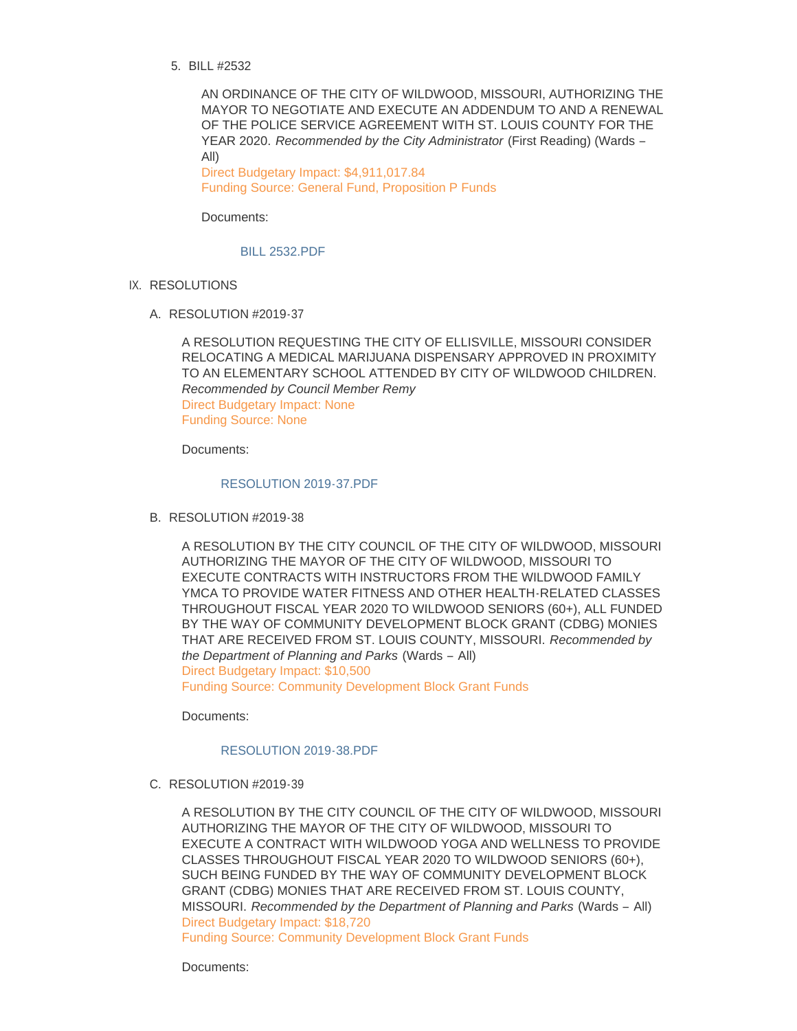BILL #2532 5.

AN ORDINANCE OF THE CITY OF WILDWOOD, MISSOURI, AUTHORIZING THE MAYOR TO NEGOTIATE AND EXECUTE AN ADDENDUM TO AND A RENEWAL OF THE POLICE SERVICE AGREEMENT WITH ST. LOUIS COUNTY FOR THE YEAR 2020. *Recommended by the City Administrator* (First Reading) (Wards – All)

Direct Budgetary Impact: \$4,911,017.84 Funding Source: General Fund, Proposition P Funds

Documents:

[BILL 2532.PDF](https://www.cityofwildwood.com/AgendaCenter/ViewFile/Item/23056?fileID=28332)

- IX. RESOLUTIONS
	- A. RESOLUTION #2019-37

A RESOLUTION REQUESTING THE CITY OF ELLISVILLE, MISSOURI CONSIDER RELOCATING A MEDICAL MARIJUANA DISPENSARY APPROVED IN PROXIMITY TO AN ELEMENTARY SCHOOL ATTENDED BY CITY OF WILDWOOD CHILDREN. *Recommended by Council Member Remy*  Direct Budgetary Impact: None Funding Source: None

Documents:

#### [RESOLUTION 2019-37.PDF](https://www.cityofwildwood.com/AgendaCenter/ViewFile/Item/23058?fileID=28333)

B. RESOLUTION #2019-38

A RESOLUTION BY THE CITY COUNCIL OF THE CITY OF WILDWOOD, MISSOURI AUTHORIZING THE MAYOR OF THE CITY OF WILDWOOD, MISSOURI TO EXECUTE CONTRACTS WITH INSTRUCTORS FROM THE WILDWOOD FAMILY YMCA TO PROVIDE WATER FITNESS AND OTHER HEALTH-RELATED CLASSES THROUGHOUT FISCAL YEAR 2020 TO WILDWOOD SENIORS (60+), ALL FUNDED BY THE WAY OF COMMUNITY DEVELOPMENT BLOCK GRANT (CDBG) MONIES THAT ARE RECEIVED FROM ST. LOUIS COUNTY, MISSOURI. *Recommended by the Department of Planning and Parks* (Wards – All) Direct Budgetary Impact: \$10,500 Funding Source: Community Development Block Grant Funds

Documents:

#### [RESOLUTION 2019-38.PDF](https://www.cityofwildwood.com/AgendaCenter/ViewFile/Item/23075?fileID=28345)

C. RESOLUTION #2019-39

A RESOLUTION BY THE CITY COUNCIL OF THE CITY OF WILDWOOD, MISSOURI AUTHORIZING THE MAYOR OF THE CITY OF WILDWOOD, MISSOURI TO EXECUTE A CONTRACT WITH WILDWOOD YOGA AND WELLNESS TO PROVIDE CLASSES THROUGHOUT FISCAL YEAR 2020 TO WILDWOOD SENIORS (60+), SUCH BEING FUNDED BY THE WAY OF COMMUNITY DEVELOPMENT BLOCK GRANT (CDBG) MONIES THAT ARE RECEIVED FROM ST. LOUIS COUNTY, MISSOURI. *Recommended by the Department of Planning and Parks* (Wards – All) Direct Budgetary Impact: \$18,720 Funding Source: Community Development Block Grant Funds

Documents: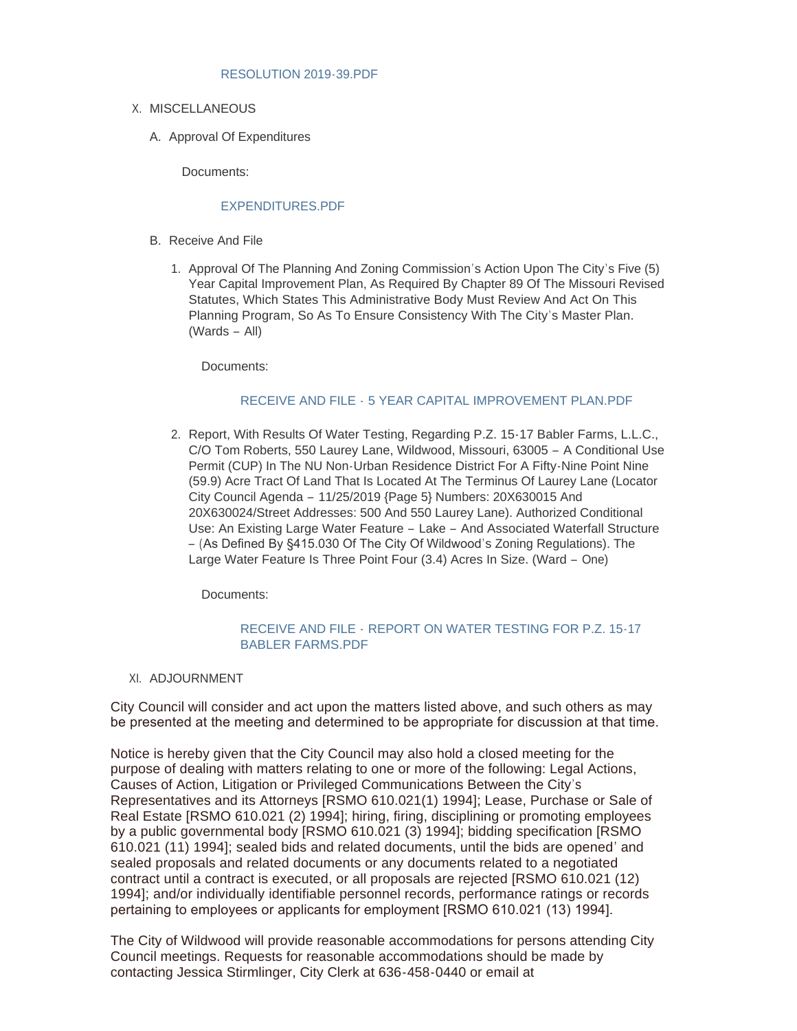### [RESOLUTION 2019-39.PDF](https://www.cityofwildwood.com/AgendaCenter/ViewFile/Item/23076?fileID=28346)

- X. MISCELLANEOUS
	- A. Approval Of Expenditures

Documents:

# [EXPENDITURES.PDF](https://www.cityofwildwood.com/AgendaCenter/ViewFile/Item/23104?fileID=28354)

- B. Receive And File
	- 1. Approval Of The Planning And Zoning Commission's Action Upon The City's Five (5) Year Capital Improvement Plan, As Required By Chapter 89 Of The Missouri Revised Statutes, Which States This Administrative Body Must Review And Act On This Planning Program, So As To Ensure Consistency With The City's Master Plan. (Wards – All)

Documents:

# RECEIVE AND FILE - [5 YEAR CAPITAL IMPROVEMENT PLAN.PDF](https://www.cityofwildwood.com/AgendaCenter/ViewFile/Item/23077?fileID=28347)

2. Report, With Results Of Water Testing, Regarding P.Z. 15-17 Babler Farms, L.L.C., C/O Tom Roberts, 550 Laurey Lane, Wildwood, Missouri, 63005 – A Conditional Use Permit (CUP) In The NU Non-Urban Residence District For A Fifty-Nine Point Nine (59.9) Acre Tract Of Land That Is Located At The Terminus Of Laurey Lane (Locator City Council Agenda – 11/25/2019 {Page 5} Numbers: 20X630015 And 20X630024/Street Addresses: 500 And 550 Laurey Lane). Authorized Conditional Use: An Existing Large Water Feature – Lake – And Associated Waterfall Structure – (As Defined By §415.030 Of The City Of Wildwood's Zoning Regulations). The Large Water Feature Is Three Point Four (3.4) Acres In Size. (Ward – One)

Documents:

# RECEIVE AND FILE - [REPORT ON WATER TESTING FOR P.Z. 15-17](https://www.cityofwildwood.com/AgendaCenter/ViewFile/Item/23078?fileID=28399)  BABLER FARMS.PDF

XI. ADJOURNMENT

City Council will consider and act upon the matters listed above, and such others as may be presented at the meeting and determined to be appropriate for discussion at that time.

Notice is hereby given that the City Council may also hold a closed meeting for the purpose of dealing with matters relating to one or more of the following: Legal Actions, Causes of Action, Litigation or Privileged Communications Between the City's Representatives and its Attorneys [RSMO 610.021(1) 1994]; Lease, Purchase or Sale of Real Estate [RSMO 610.021 (2) 1994]; hiring, firing, disciplining or promoting employees by a public governmental body [RSMO 610.021 (3) 1994]; bidding specification [RSMO 610.021 (11) 1994]; sealed bids and related documents, until the bids are opened' and sealed proposals and related documents or any documents related to a negotiated contract until a contract is executed, or all proposals are rejected [RSMO 610.021 (12) 1994]; and/or individually identifiable personnel records, performance ratings or records pertaining to employees or applicants for employment [RSMO 610.021 (13) 1994].

The City of Wildwood will provide reasonable accommodations for persons attending City Council meetings. Requests for reasonable accommodations should be made by contacting Jessica Stirmlinger, City Clerk at 636-458-0440 or email at